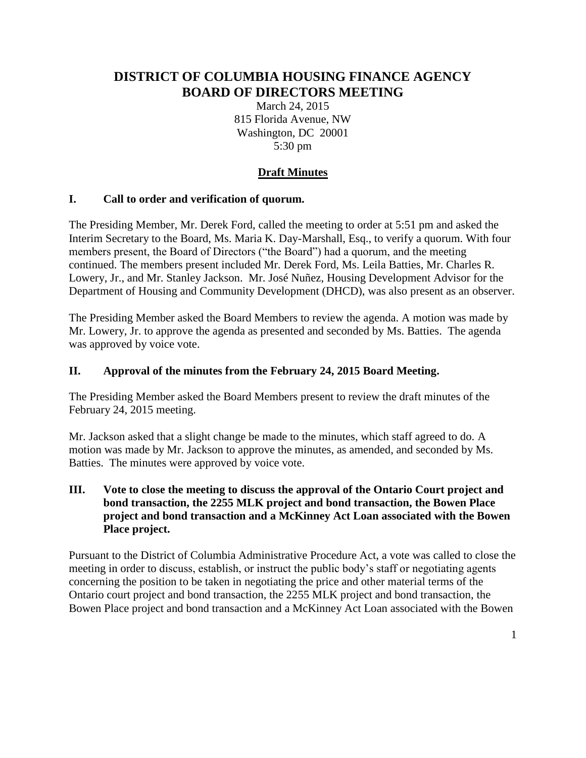# **DISTRICT OF COLUMBIA HOUSING FINANCE AGENCY BOARD OF DIRECTORS MEETING**

March 24, 2015 815 Florida Avenue, NW Washington, DC 20001 5:30 pm

## **Draft Minutes**

#### **I. Call to order and verification of quorum.**

The Presiding Member, Mr. Derek Ford, called the meeting to order at 5:51 pm and asked the Interim Secretary to the Board, Ms. Maria K. Day-Marshall, Esq., to verify a quorum. With four members present, the Board of Directors ("the Board") had a quorum, and the meeting continued. The members present included Mr. Derek Ford, Ms. Leila Batties, Mr. Charles R. Lowery, Jr., and Mr. Stanley Jackson. Mr. José Nuñez, Housing Development Advisor for the Department of Housing and Community Development (DHCD), was also present as an observer.

The Presiding Member asked the Board Members to review the agenda. A motion was made by Mr. Lowery, Jr. to approve the agenda as presented and seconded by Ms. Batties. The agenda was approved by voice vote.

#### **II. Approval of the minutes from the February 24, 2015 Board Meeting.**

The Presiding Member asked the Board Members present to review the draft minutes of the February 24, 2015 meeting.

Mr. Jackson asked that a slight change be made to the minutes, which staff agreed to do. A motion was made by Mr. Jackson to approve the minutes, as amended, and seconded by Ms. Batties. The minutes were approved by voice vote.

#### **III. Vote to close the meeting to discuss the approval of the Ontario Court project and bond transaction, the 2255 MLK project and bond transaction, the Bowen Place project and bond transaction and a McKinney Act Loan associated with the Bowen Place project.**

Pursuant to the District of Columbia Administrative Procedure Act, a vote was called to close the meeting in order to discuss, establish, or instruct the public body's staff or negotiating agents concerning the position to be taken in negotiating the price and other material terms of the Ontario court project and bond transaction, the 2255 MLK project and bond transaction, the Bowen Place project and bond transaction and a McKinney Act Loan associated with the Bowen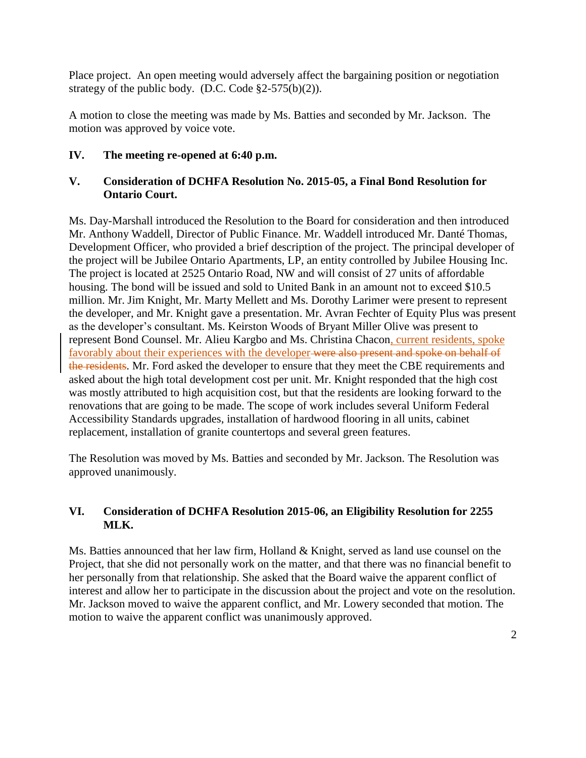Place project. An open meeting would adversely affect the bargaining position or negotiation strategy of the public body. (D.C. Code  $\S2-575(b)(2)$ ).

A motion to close the meeting was made by Ms. Batties and seconded by Mr. Jackson. The motion was approved by voice vote.

## **IV. The meeting re-opened at 6:40 p.m.**

## **V. Consideration of DCHFA Resolution No. 2015-05, a Final Bond Resolution for Ontario Court.**

Ms. Day-Marshall introduced the Resolution to the Board for consideration and then introduced Mr. Anthony Waddell, Director of Public Finance. Mr. Waddell introduced Mr. Danté Thomas, Development Officer, who provided a brief description of the project. The principal developer of the project will be Jubilee Ontario Apartments, LP, an entity controlled by Jubilee Housing Inc. The project is located at 2525 Ontario Road, NW and will consist of 27 units of affordable housing. The bond will be issued and sold to United Bank in an amount not to exceed \$10.5 million. Mr. Jim Knight, Mr. Marty Mellett and Ms. Dorothy Larimer were present to represent the developer, and Mr. Knight gave a presentation. Mr. Avran Fechter of Equity Plus was present as the developer's consultant. Ms. Keirston Woods of Bryant Miller Olive was present to represent Bond Counsel. Mr. Alieu Kargbo and Ms. Christina Chacon, current residents, spoke favorably about their experiences with the developer were also present and spoke on behalf of the residents. Mr. Ford asked the developer to ensure that they meet the CBE requirements and asked about the high total development cost per unit. Mr. Knight responded that the high cost was mostly attributed to high acquisition cost, but that the residents are looking forward to the renovations that are going to be made. The scope of work includes several Uniform Federal Accessibility Standards upgrades, installation of hardwood flooring in all units, cabinet replacement, installation of granite countertops and several green features.

The Resolution was moved by Ms. Batties and seconded by Mr. Jackson. The Resolution was approved unanimously.

### **VI. Consideration of DCHFA Resolution 2015-06, an Eligibility Resolution for 2255 MLK.**

Ms. Batties announced that her law firm, Holland & Knight, served as land use counsel on the Project, that she did not personally work on the matter, and that there was no financial benefit to her personally from that relationship. She asked that the Board waive the apparent conflict of interest and allow her to participate in the discussion about the project and vote on the resolution. Mr. Jackson moved to waive the apparent conflict, and Mr. Lowery seconded that motion. The motion to waive the apparent conflict was unanimously approved.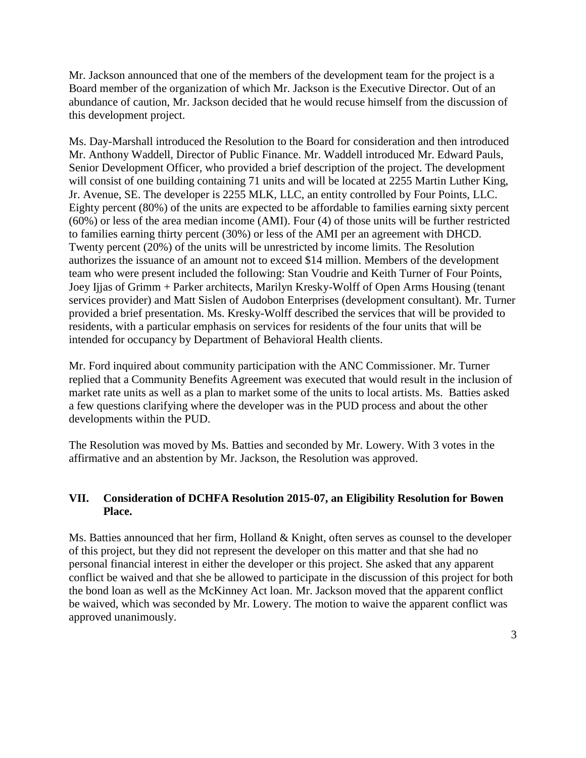Mr. Jackson announced that one of the members of the development team for the project is a Board member of the organization of which Mr. Jackson is the Executive Director. Out of an abundance of caution, Mr. Jackson decided that he would recuse himself from the discussion of this development project.

Ms. Day-Marshall introduced the Resolution to the Board for consideration and then introduced Mr. Anthony Waddell, Director of Public Finance. Mr. Waddell introduced Mr. Edward Pauls, Senior Development Officer, who provided a brief description of the project. The development will consist of one building containing 71 units and will be located at 2255 Martin Luther King, Jr. Avenue, SE. The developer is 2255 MLK, LLC, an entity controlled by Four Points, LLC. Eighty percent (80%) of the units are expected to be affordable to families earning sixty percent (60%) or less of the area median income (AMI). Four (4) of those units will be further restricted to families earning thirty percent (30%) or less of the AMI per an agreement with DHCD. Twenty percent (20%) of the units will be unrestricted by income limits. The Resolution authorizes the issuance of an amount not to exceed \$14 million. Members of the development team who were present included the following: Stan Voudrie and Keith Turner of Four Points, Joey Ijjas of Grimm + Parker architects, Marilyn Kresky-Wolff of Open Arms Housing (tenant services provider) and Matt Sislen of Audobon Enterprises (development consultant). Mr. Turner provided a brief presentation. Ms. Kresky-Wolff described the services that will be provided to residents, with a particular emphasis on services for residents of the four units that will be intended for occupancy by Department of Behavioral Health clients.

Mr. Ford inquired about community participation with the ANC Commissioner. Mr. Turner replied that a Community Benefits Agreement was executed that would result in the inclusion of market rate units as well as a plan to market some of the units to local artists. Ms. Batties asked a few questions clarifying where the developer was in the PUD process and about the other developments within the PUD.

The Resolution was moved by Ms. Batties and seconded by Mr. Lowery. With 3 votes in the affirmative and an abstention by Mr. Jackson, the Resolution was approved.

### **VII. Consideration of DCHFA Resolution 2015-07, an Eligibility Resolution for Bowen Place.**

Ms. Batties announced that her firm, Holland & Knight, often serves as counsel to the developer of this project, but they did not represent the developer on this matter and that she had no personal financial interest in either the developer or this project. She asked that any apparent conflict be waived and that she be allowed to participate in the discussion of this project for both the bond loan as well as the McKinney Act loan. Mr. Jackson moved that the apparent conflict be waived, which was seconded by Mr. Lowery. The motion to waive the apparent conflict was approved unanimously.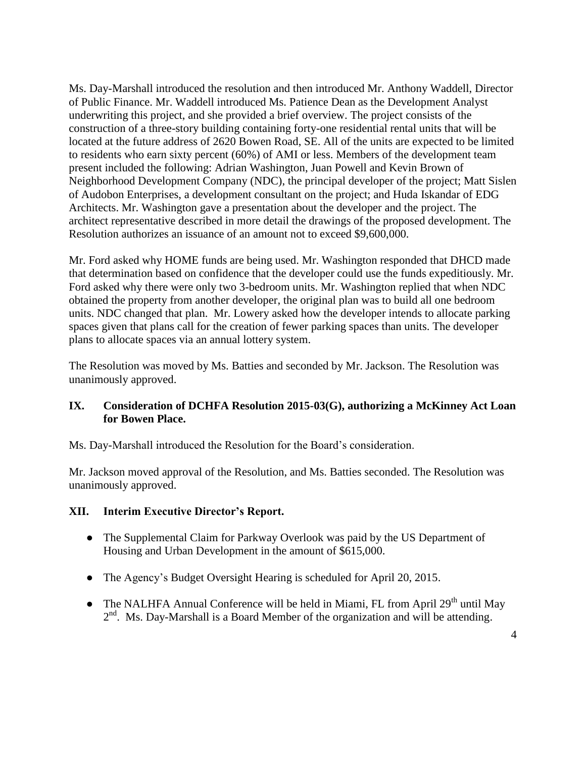Ms. Day-Marshall introduced the resolution and then introduced Mr. Anthony Waddell, Director of Public Finance. Mr. Waddell introduced Ms. Patience Dean as the Development Analyst underwriting this project, and she provided a brief overview. The project consists of the construction of a three-story building containing forty-one residential rental units that will be located at the future address of 2620 Bowen Road, SE. All of the units are expected to be limited to residents who earn sixty percent (60%) of AMI or less. Members of the development team present included the following: Adrian Washington, Juan Powell and Kevin Brown of Neighborhood Development Company (NDC), the principal developer of the project; Matt Sislen of Audobon Enterprises, a development consultant on the project; and Huda Iskandar of EDG Architects. Mr. Washington gave a presentation about the developer and the project. The architect representative described in more detail the drawings of the proposed development. The Resolution authorizes an issuance of an amount not to exceed \$9,600,000.

Mr. Ford asked why HOME funds are being used. Mr. Washington responded that DHCD made that determination based on confidence that the developer could use the funds expeditiously. Mr. Ford asked why there were only two 3-bedroom units. Mr. Washington replied that when NDC obtained the property from another developer, the original plan was to build all one bedroom units. NDC changed that plan. Mr. Lowery asked how the developer intends to allocate parking spaces given that plans call for the creation of fewer parking spaces than units. The developer plans to allocate spaces via an annual lottery system.

The Resolution was moved by Ms. Batties and seconded by Mr. Jackson. The Resolution was unanimously approved.

### **IX. Consideration of DCHFA Resolution 2015-03(G), authorizing a McKinney Act Loan for Bowen Place.**

Ms. Day-Marshall introduced the Resolution for the Board's consideration.

Mr. Jackson moved approval of the Resolution, and Ms. Batties seconded. The Resolution was unanimously approved.

### **XII. Interim Executive Director's Report.**

- The Supplemental Claim for Parkway Overlook was paid by the US Department of Housing and Urban Development in the amount of \$615,000.
- The Agency's Budget Oversight Hearing is scheduled for April 20, 2015.
- The NALHFA Annual Conference will be held in Miami, FL from April  $29<sup>th</sup>$  until May  $2<sup>nd</sup>$ . Ms. Day-Marshall is a Board Member of the organization and will be attending.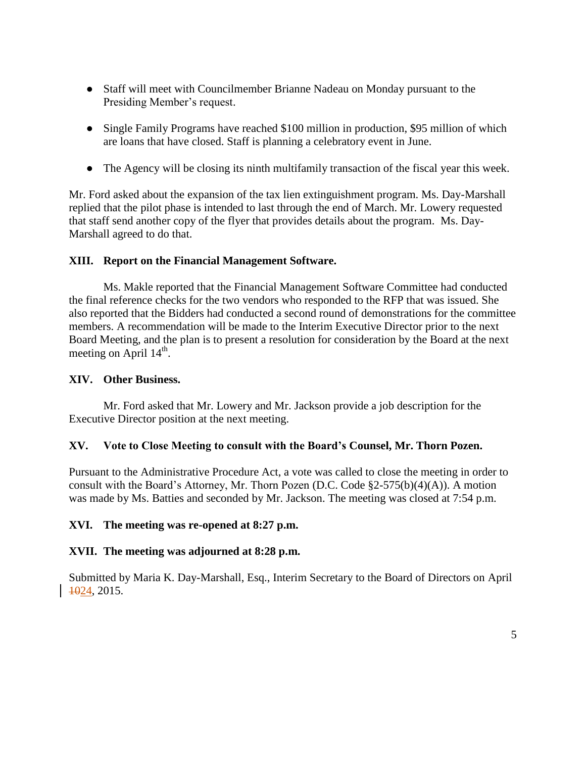- Staff will meet with Councilmember Brianne Nadeau on Monday pursuant to the Presiding Member's request.
- Single Family Programs have reached \$100 million in production, \$95 million of which are loans that have closed. Staff is planning a celebratory event in June.
- The Agency will be closing its ninth multifamily transaction of the fiscal year this week.

Mr. Ford asked about the expansion of the tax lien extinguishment program. Ms. Day-Marshall replied that the pilot phase is intended to last through the end of March. Mr. Lowery requested that staff send another copy of the flyer that provides details about the program. Ms. Day-Marshall agreed to do that.

### **XIII. Report on the Financial Management Software.**

Ms. Makle reported that the Financial Management Software Committee had conducted the final reference checks for the two vendors who responded to the RFP that was issued. She also reported that the Bidders had conducted a second round of demonstrations for the committee members. A recommendation will be made to the Interim Executive Director prior to the next Board Meeting, and the plan is to present a resolution for consideration by the Board at the next meeting on April  $14^{\text{th}}$ .

### **XIV. Other Business.**

Mr. Ford asked that Mr. Lowery and Mr. Jackson provide a job description for the Executive Director position at the next meeting.

### **XV. Vote to Close Meeting to consult with the Board's Counsel, Mr. Thorn Pozen.**

Pursuant to the Administrative Procedure Act, a vote was called to close the meeting in order to consult with the Board's Attorney, Mr. Thorn Pozen (D.C. Code §2-575(b)(4)(A)). A motion was made by Ms. Batties and seconded by Mr. Jackson. The meeting was closed at 7:54 p.m.

### **XVI. The meeting was re-opened at 8:27 p.m.**

### **XVII. The meeting was adjourned at 8:28 p.m.**

Submitted by Maria K. Day-Marshall, Esq., Interim Secretary to the Board of Directors on April 1024, 2015.